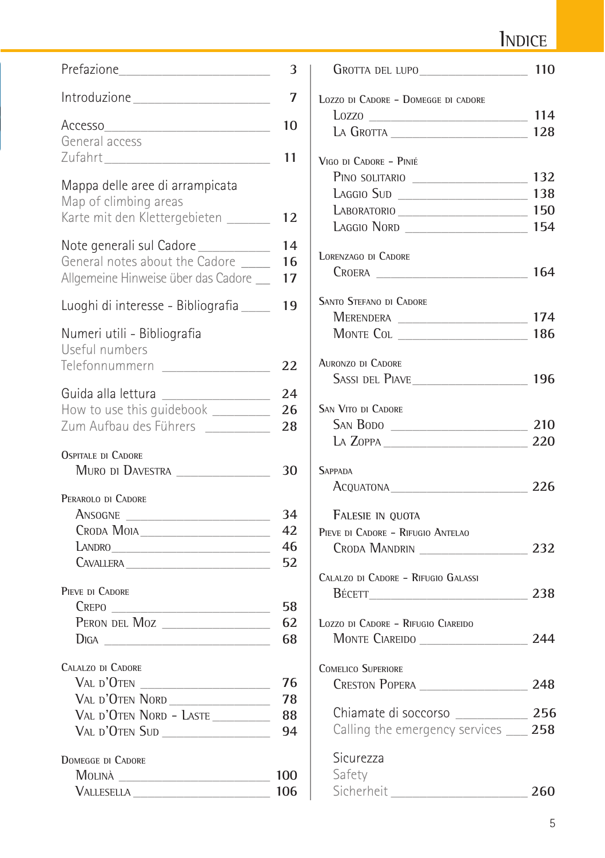### INDICE

|                                                                                                                       | 3                    |
|-----------------------------------------------------------------------------------------------------------------------|----------------------|
|                                                                                                                       | 7                    |
| Accesso<br>General access                                                                                             | 10<br>11             |
| Mappa delle aree di arrampicata<br>Map of climbing areas<br>Karte mit den Klettergebieten ______                      | 12                   |
| Note generali sul Cadore<br>General notes about the Cadore<br>Allgemeine Hinweise über das Cadore _                   | 14<br>16<br>17       |
| Luoghi di interesse - Bibliografia                                                                                    | 19                   |
| Numeri utili - Bibliografia<br>Useful numbers<br>Telefonnummern                                                       | 22                   |
| Guida alla lettura _________________<br>How to use this guidebook ___________<br>Zum Aufbau des Führers               | 24<br>26<br>28       |
| <b>OSPITALE DI CADORE</b><br>MURO DI DAVESTRA                                                                         | 30                   |
| PERAROLO DI CADORE<br>ANSOGNE<br>CRODA MOIA<br>LANDRO                                                                 | 34<br>42<br>46<br>52 |
| PIEVE DI CADORE<br>$C$ repo $\_\_$<br><u> 1980 - Johann Barbara, martxa a</u><br>PERON DEL MOZ                        | 58<br>62<br>68       |
| CALALZO DI CADORE<br>Val d'Oten _____________________<br>VAL D'OTEN NORD<br>VAL D'OTEN NORD - LASTE<br>Val d'Oten Sud | 76<br>78<br>88<br>94 |
| DOMEGGE DI CADORE<br>MOLINÀ<br>VALLESELLA                                                                             | 100<br>106           |

| LOZZO DI CADORE - DOMEGGE DI CADORE    |     |
|----------------------------------------|-----|
|                                        |     |
| LA GROTTA                              | 128 |
| VIGO DI CADORE - PINIÉ                 |     |
| PINO SOLITARIO                         | 132 |
| LAGGIO SUD                             | 138 |
| LABORATORIO                            | 150 |
| LAGGIO NORD   154                      |     |
| <b>LORENZAGO DI CADORE</b>             |     |
|                                        | 164 |
| SANTO STEFANO DI CADORE                |     |
| MERENDERA _______________________      | 174 |
|                                        | 186 |
|                                        |     |
| <b>AURONZO DI CADORE</b>               |     |
|                                        |     |
| <b>SAN VITO DI CADORE</b>              |     |
| SAN BODO                               | 210 |
| $\mu$ Zoppa 220                        |     |
| <b>SAPPADA</b>                         |     |
| ACQUATONA 226                          |     |
| FALESIE IN QUOTA                       |     |
| PIEVE DI CADORE - RIFUGIO ANTELAO      |     |
| CRODA MANDRIN                          | 232 |
| CALALZO DI CADORE - RIFUGIO GALASSI    |     |
| BÉCETT 238                             |     |
|                                        |     |
| LOZZO DI CADORE - RIFUGIO CIAREIDO     |     |
|                                        |     |
| <b>COMELICO SUPERIORE</b>              |     |
|                                        |     |
| Chiamate di soccorso _____________ 256 |     |
| Calling the emergency services __ 258  |     |
|                                        |     |
| Sicurezza<br>Safety                    |     |
|                                        |     |
| Sicherheit_                            | 260 |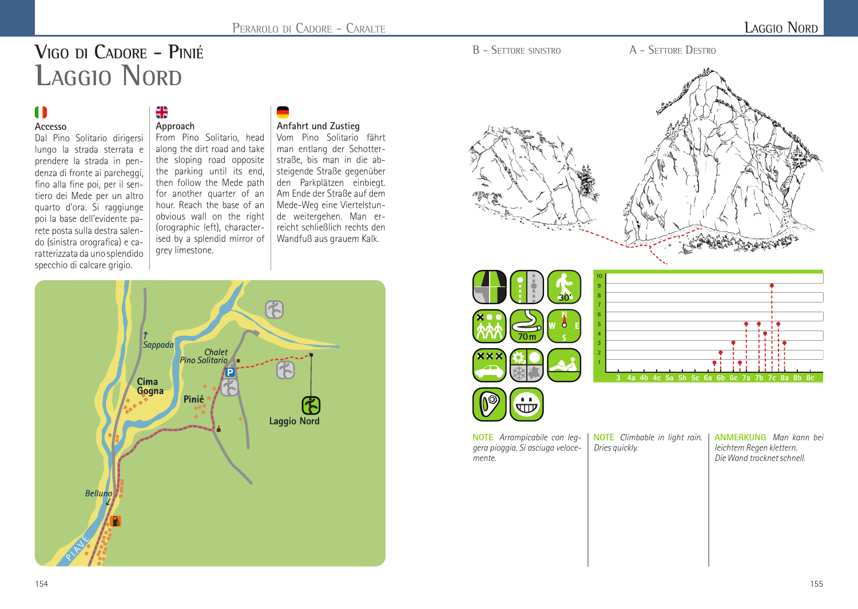# **VIGO DI CADORE - PINIÉ LAGGIO NORD**

## $\blacksquare$

#### **Accesso**

Dal Pino Solitario dirigersi lungo la strada sterrata e prendere la strada in pendenza di fronte ai parcheggi, fino alla fine poi, per il sentiero dei Mede per un altro quarto d'ora. Si raggiunge poi la base dell'evidente parete posta sulla destra salendo (sinistra orografica) e caratterizzata da uno splendido specchio di calcare grigio.

#### ៖ **Approach**

From Pino Solitario, head along the dirt road and take the sloping road opposite the parking until its end, then follow the Mede path for another quarter of an hour. Reach the base of an obvious wall on the right (orographic left), characterised by a splendid mirror of grey limestone.

#### **Anfahrt und Zustieg**

Vom Pino Solitario fährt man entlang der Schotterstraße, bis man in die absteigende Straße gegenüber den Parkplätzen einbiegt. Am Ende der Straße auf dem Mede-Weg eine Viertelstunde weitergehen. Man erreicht schließlich rechts den Wandfuß aus grauem Kalk.





B - SETTORE SINISTRO A - SETTORE DESTRO





**NOTE** *Arrampicabile con leggera pioggia. Si asciuga velocemente.*

**NOTE** *Climbable in light rain. Dries quickly.* 

**ANMERKUNG** *Man kann bei leichtem Regen klettern. Die Wand trocknet schnell.*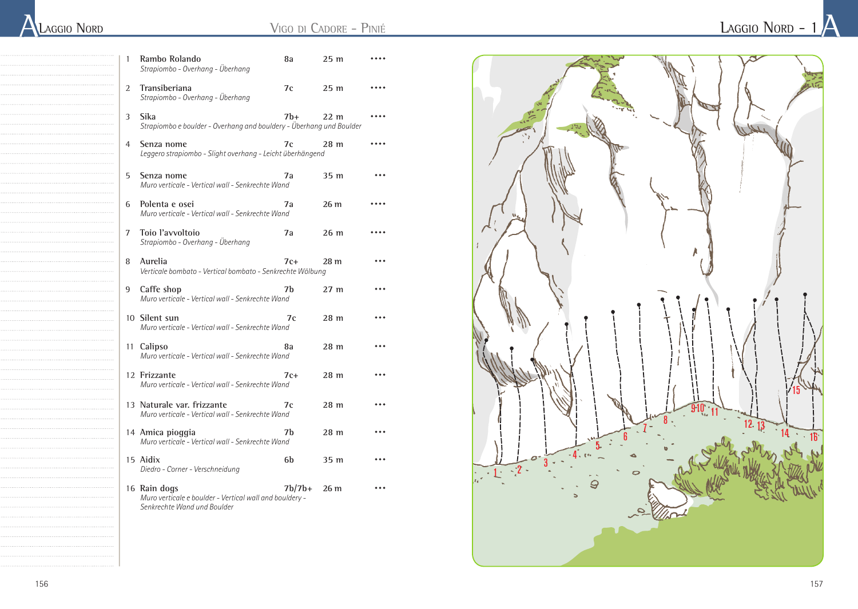| <b>LAGGIO NORD</b> |  |
|--------------------|--|
|                    |  |

| 1              | Rambo Rolando<br>Strapiombo - Overhang - Überhang                                                      | 8а       | 25 <sub>m</sub> |  |
|----------------|--------------------------------------------------------------------------------------------------------|----------|-----------------|--|
| 2              | Transiberiana<br>Strapiombo - Overhang - Überhang                                                      | 7c       | 25 <sub>m</sub> |  |
| 3              | Sika<br>Strapiombo e boulder - Overhang and bouldery - Überhang und Boulder                            | 7b+      | 22 <sub>m</sub> |  |
| $\overline{4}$ | Senza nome<br>Leggero strapiombo - Slight overhang - Leicht überhängend                                | 7c       | 28 m            |  |
| 5              | Senza nome<br>Muro verticale - Vertical wall - Senkrechte Wand                                         | 7a       | 35 m            |  |
| 6              | Polenta e osei<br>Muro verticale - Vertical wall - Senkrechte Wand                                     | 7a       | 26 m            |  |
| 7              | Tojo l'avvoltojo<br>Strapiombo - Overhang - Überhang                                                   | 7a       | 26 <sub>m</sub> |  |
| 8              | Aurelia<br>Verticale bombato - Vertical bombato - Senkrechte Wölbung                                   | $7c+$    | 28 m            |  |
| 9              | Caffe shop<br>Muro verticale - Vertical wall - Senkrechte Wand                                         | 7h       | 27 <sub>m</sub> |  |
|                | 10 Silent sun<br>Muro verticale - Vertical wall - Senkrechte Wand                                      | 7c       | 28 <sub>m</sub> |  |
|                | 11 Calipso<br>Muro verticale - Vertical wall - Senkrechte Wand                                         | 8а       | 28 m            |  |
|                | 12 Frizzante<br>Muro verticale - Vertical wall - Senkrechte Wand                                       | $7c+$    | 28 m            |  |
|                | 13 Naturale var. frizzante<br>Muro verticale - Vertical wall - Senkrechte Wand                         | 7c       | 28 m            |  |
|                | 14 Amica pioggia<br>Muro verticale - Vertical wall - Senkrechte Wand                                   | 7b       | 28 m            |  |
|                | 15 Aidix<br>Diedro - Corner - Verschneidung                                                            | 6b       | 35 m            |  |
|                | 16 Rain dogs<br>Muro verticale e boulder - Vertical wall and bouldery -<br>Senkrechte Wand und Boulder | $7b/7b+$ | 26 <sub>m</sub> |  |